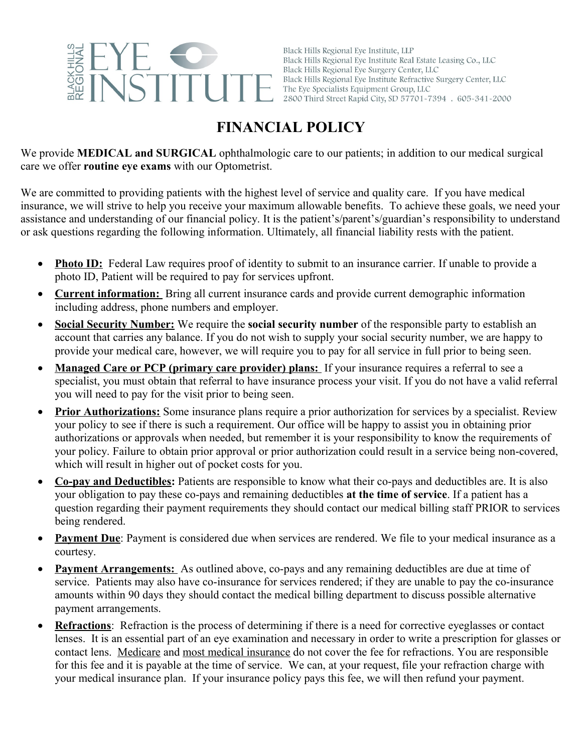

Black Hills Regional Eye Institute, LLP Black Hills Regional Eye Institute Real Estate Leasing Co., LLC Black Hills Regional Eye Surgery Center, LLC Black Hills Regional Eye Institute Refractive Surgery Center, LLC The Eye Specialists Equipment Group, LLC 2800 Third Street Rapid City, SD 57701-7394 . 605-341-2000

## **FINANCIAL POLICY**

We provide **MEDICAL and SURGICAL** ophthalmologic care to our patients; in addition to our medical surgical care we offer **routine eye exams** with our Optometrist.

We are committed to providing patients with the highest level of service and quality care. If you have medical insurance, we will strive to help you receive your maximum allowable benefits. To achieve these goals, we need your assistance and understanding of our financial policy. It is the patient's/parent's/guardian's responsibility to understand or ask questions regarding the following information. Ultimately, all financial liability rests with the patient.

- Photo ID: Federal Law requires proof of identity to submit to an insurance carrier. If unable to provide a photo ID, Patient will be required to pay for services upfront.
- **Current information:** Bring all current insurance cards and provide current demographic information including address, phone numbers and employer.
- **Social Security Number:** We require the **social security number** of the responsible party to establish an account that carries any balance. If you do not wish to supply your social security number, we are happy to provide your medical care, however, we will require you to pay for all service in full prior to being seen.
- **Managed Care or PCP (primary care provider) plans:** If your insurance requires a referral to see a specialist, you must obtain that referral to have insurance process your visit. If you do not have a valid referral you will need to pay for the visit prior to being seen.
- **Prior Authorizations:** Some insurance plans require a prior authorization for services by a specialist. Review your policy to see if there is such a requirement. Our office will be happy to assist you in obtaining prior authorizations or approvals when needed, but remember it is your responsibility to know the requirements of your policy. Failure to obtain prior approval or prior authorization could result in a service being non-covered, which will result in higher out of pocket costs for you.
- **Co-pay and Deductibles:** Patients are responsible to know what their co-pays and deductibles are. It is also your obligation to pay these co-pays and remaining deductibles **at the time of service**. If a patient has a question regarding their payment requirements they should contact our medical billing staff PRIOR to services being rendered.
- **Payment Due**: Payment is considered due when services are rendered. We file to your medical insurance as a courtesy.
- **Payment Arrangements:** As outlined above, co-pays and any remaining deductibles are due at time of service. Patients may also have co-insurance for services rendered; if they are unable to pay the co-insurance amounts within 90 days they should contact the medical billing department to discuss possible alternative payment arrangements.
- **Refractions**: Refraction is the process of determining if there is a need for corrective eyeglasses or contact lenses. It is an essential part of an eye examination and necessary in order to write a prescription for glasses or contact lens. Medicare and most medical insurance do not cover the fee for refractions. You are responsible for this fee and it is payable at the time of service. We can, at your request, file your refraction charge with your medical insurance plan. If your insurance policy pays this fee, we will then refund your payment.